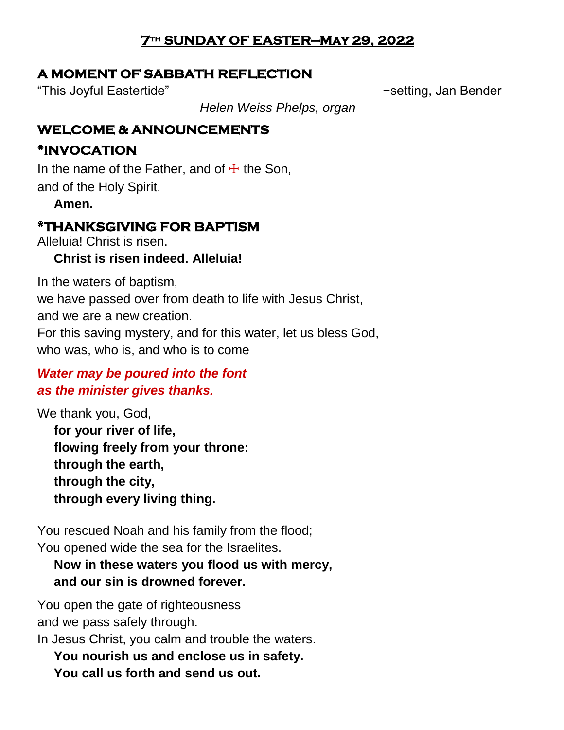### **7th SUNDAY OF EASTER—May 29, 2022**

### **A MOMENT OF SABBATH REFLECTION**

"This Joyful Eastertide" −setting, Jan Bender

*Helen Weiss Phelps, organ*

### **WELCOME & ANNOUNCEMENTS**

# **\*INVOCATION**

In the name of the Father, and of  $\pm$  the Son, and of the Holy Spirit.

**Amen.**

# **\*THANKSGIVING FOR BAPTISM**

Alleluia! Christ is risen.

### **Christ is risen indeed. Alleluia!**

In the waters of baptism, we have passed over from death to life with Jesus Christ, and we are a new creation. For this saving mystery, and for this water, let us bless God, who was, who is, and who is to come

# *Water may be poured into the font as the minister gives thanks.*

We thank you, God, **for your river of life, flowing freely from your throne: through the earth, through the city, through every living thing.**

You rescued Noah and his family from the flood; You opened wide the sea for the Israelites.

### **Now in these waters you flood us with mercy, and our sin is drowned forever.**

You open the gate of righteousness and we pass safely through.

In Jesus Christ, you calm and trouble the waters.

**You nourish us and enclose us in safety. You call us forth and send us out.**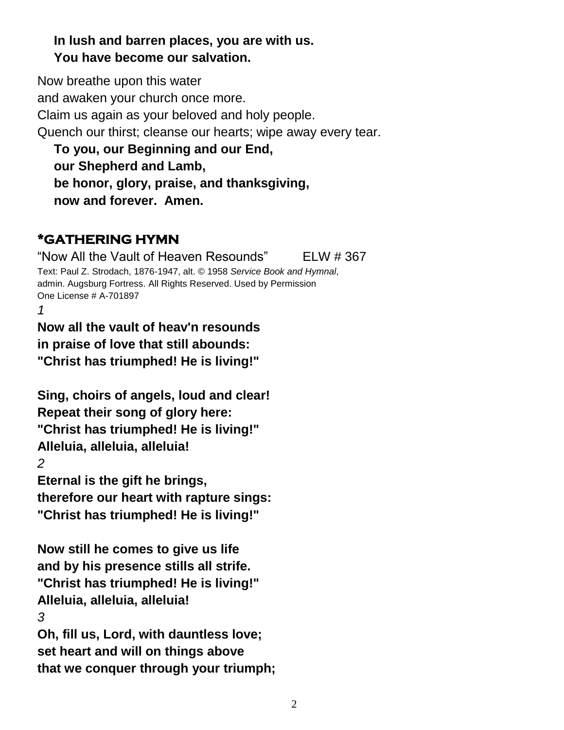### **In lush and barren places, you are with us. You have become our salvation.**

Now breathe upon this water and awaken your church once more. Claim us again as your beloved and holy people. Quench our thirst; cleanse our hearts; wipe away every tear. **To you, our Beginning and our End,**

**our Shepherd and Lamb, be honor, glory, praise, and thanksgiving, now and forever. Amen.**

# **\*GATHERING HYMN**

"Now All the Vault of Heaven Resounds" ELW # 367 Text: Paul Z. Strodach, 1876-1947, alt. © 1958 *Service Book and Hymnal*, admin. Augsburg Fortress. All Rights Reserved. Used by Permission One License # A-701897

*1*

**Now all the vault of heav'n resounds in praise of love that still abounds: "Christ has triumphed! He is living!"**

**Sing, choirs of angels, loud and clear! Repeat their song of glory here: "Christ has triumphed! He is living!" Alleluia, alleluia, alleluia!** *2*

**Eternal is the gift he brings, therefore our heart with rapture sings: "Christ has triumphed! He is living!"**

**Now still he comes to give us life and by his presence stills all strife. "Christ has triumphed! He is living!" Alleluia, alleluia, alleluia!** *3*

**Oh, fill us, Lord, with dauntless love; set heart and will on things above that we conquer through your triumph;**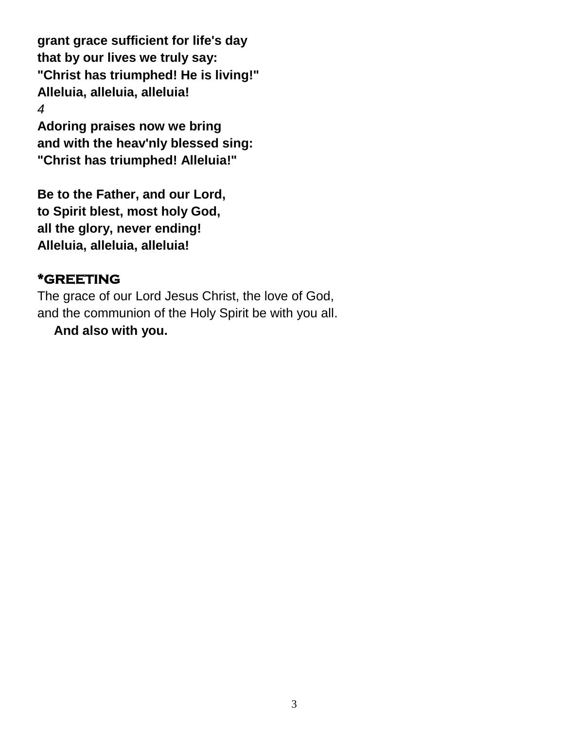**grant grace sufficient for life's day that by our lives we truly say: "Christ has triumphed! He is living!" Alleluia, alleluia, alleluia!** *4*

**Adoring praises now we bring and with the heav'nly blessed sing: "Christ has triumphed! Alleluia!"**

**Be to the Father, and our Lord, to Spirit blest, most holy God, all the glory, never ending! Alleluia, alleluia, alleluia!**

### **\*GREETING**

The grace of our Lord Jesus Christ, the love of God, and the communion of the Holy Spirit be with you all.

**And also with you.**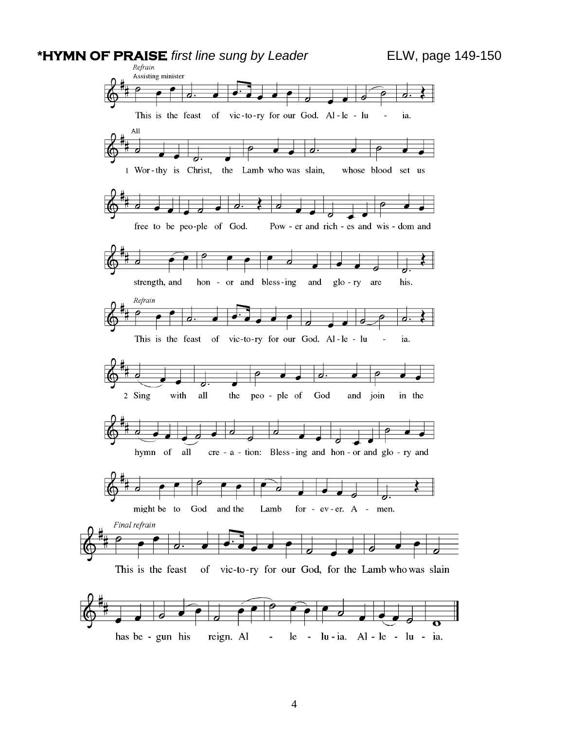#### **\*HYMN OF PRAISE** *first line sung by Leader* ELW, page 149-150

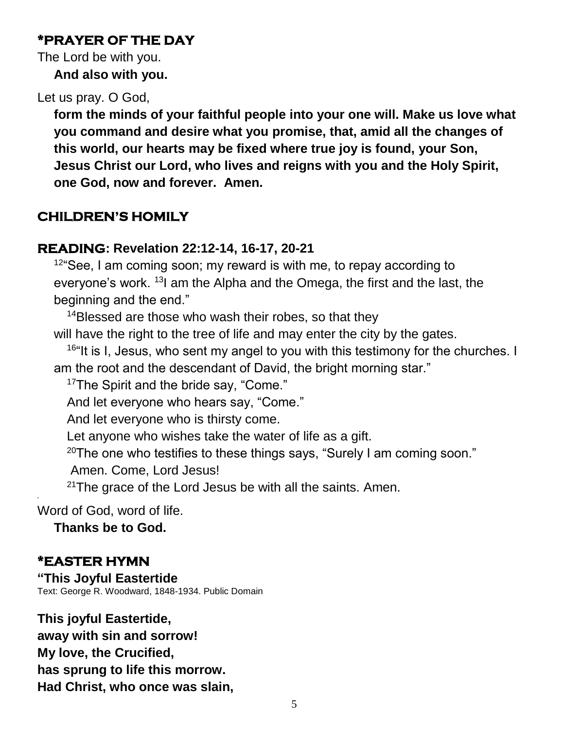### **\*PRAYER OF THE DAY**

The Lord be with you. **And also with you.**

### Let us pray. O God,

**form the minds of your faithful people into your one will. Make us love what you command and desire what you promise, that, amid all the changes of this world, our hearts may be fixed where true joy is found, your Son, Jesus Christ our Lord, who lives and reigns with you and the Holy Spirit, one God, now and forever. Amen.**

# **CHILDREN'S HOMILY**

### **READING: Revelation 22:12-14, 16-17, 20-21**

 $12^{\circ}$ See, I am coming soon; my reward is with me, to repay according to everyone's work. <sup>13</sup> am the Alpha and the Omega, the first and the last, the beginning and the end."

<sup>14</sup>Blessed are those who wash their robes, so that they

will have the right to the tree of life and may enter the city by the gates.

<sup>16"</sup>It is I, Jesus, who sent my angel to you with this testimony for the churches. I am the root and the descendant of David, the bright morning star."

<sup>17</sup>The Spirit and the bride say, "Come."

And let everyone who hears say, "Come."

And let everyone who is thirsty come.

Let anyone who wishes take the water of life as a gift.

 $20$ The one who testifies to these things says, "Surely I am coming soon."

Amen. Come, Lord Jesus!

 $21$ The grace of the Lord Jesus be with all the saints. Amen.

Word of God, word of life.

**Thanks be to God.**

### **\*EASTER HYMN**

"

**"This Joyful Eastertide** Text: George R. Woodward, 1848-1934. Public Domain

**This joyful Eastertide, away with sin and sorrow! My love, the Crucified, has sprung to life this morrow. Had Christ, who once was slain,**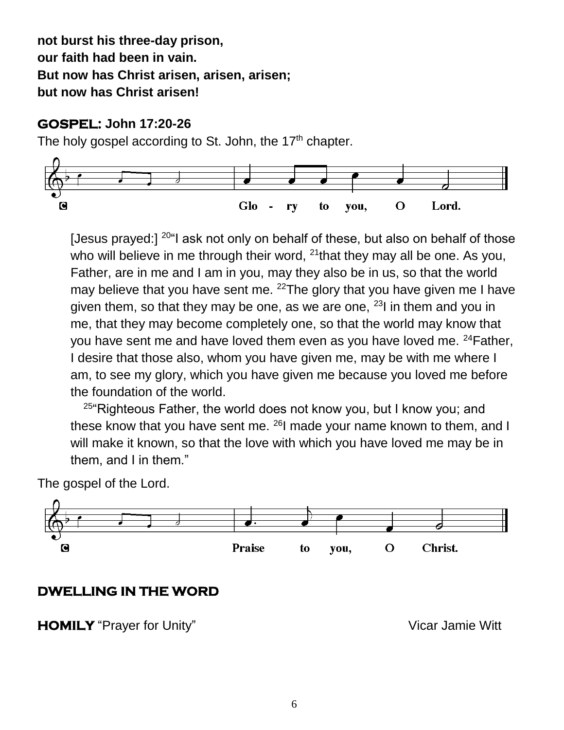**not burst his three-day prison, our faith had been in vain. But now has Christ arisen, arisen, arisen; but now has Christ arisen!**

#### **GOSPEL: John 17:20-26**

The holy gospel according to St. John, the 17<sup>th</sup> chapter.



[Jesus prayed:]  $20^\circ$  ask not only on behalf of these, but also on behalf of those who will believe in me through their word, <sup>21</sup>that they may all be one. As you, Father, are in me and I am in you, may they also be in us, so that the world may believe that you have sent me. <sup>22</sup>The glory that you have given me I have given them, so that they may be one, as we are one,  $231$  in them and you in me, that they may become completely one, so that the world may know that you have sent me and have loved them even as you have loved me. <sup>24</sup>Father, I desire that those also, whom you have given me, may be with me where I am, to see my glory, which you have given me because you loved me before the foundation of the world.

 $25$ "Righteous Father, the world does not know you, but I know you; and these know that you have sent me. <sup>26</sup>I made your name known to them, and I will make it known, so that the love with which you have loved me may be in them, and I in them."

The gospel of the Lord.



# **DWELLING IN THE WORD**

**HOMILY** "Prayer for Unity" Vicar Jamie Witt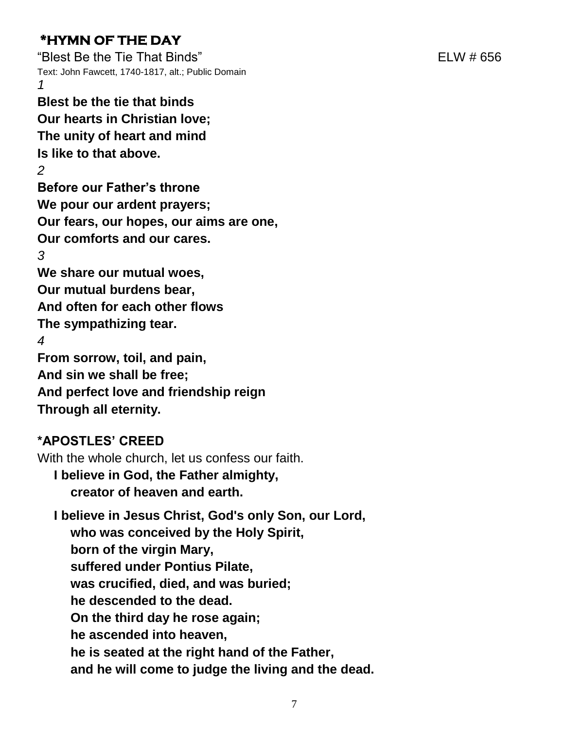# **\*HYMN OF THE DAY**

"Blest Be the Tie That Binds" ELW # 656 Text: John Fawcett, 1740-1817, alt.; Public Domain *1*

**Blest be the tie that binds Our hearts in Christian love; The unity of heart and mind Is like to that above.**

*2* **Before our Father's throne We pour our ardent prayers; Our fears, our hopes, our aims are one, Our comforts and our cares.** *3* **We share our mutual woes, Our mutual burdens bear, And often for each other flows The sympathizing tear.** *4* **From sorrow, toil, and pain, And sin we shall be free; And perfect love and friendship reign Through all eternity.**

# **\*APOSTLES' CREED**

With the whole church, let us confess our faith.

**I believe in God, the Father almighty, creator of heaven and earth.**

**I believe in Jesus Christ, God's only Son, our Lord, who was conceived by the Holy Spirit, born of the virgin Mary, suffered under Pontius Pilate, was crucified, died, and was buried; he descended to the dead. On the third day he rose again; he ascended into heaven, he is seated at the right hand of the Father, and he will come to judge the living and the dead.**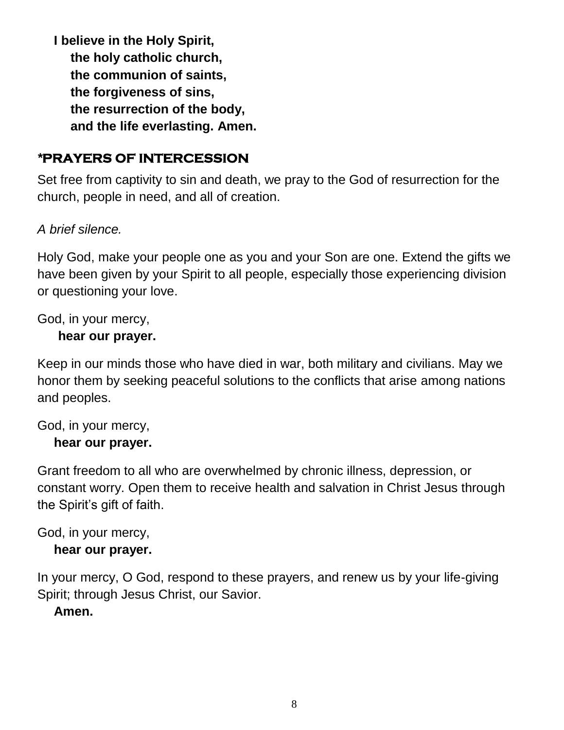**I believe in the Holy Spirit, the holy catholic church, the communion of saints, the forgiveness of sins, the resurrection of the body, and the life everlasting. Amen.**

### *\****PRAYERS OF INTERCESSION**

Set free from captivity to sin and death, we pray to the God of resurrection for the church, people in need, and all of creation.

#### *A brief silence.*

Holy God, make your people one as you and your Son are one. Extend the gifts we have been given by your Spirit to all people, especially those experiencing division or questioning your love.

God, in your mercy,

#### **hear our prayer.**

Keep in our minds those who have died in war, both military and civilians. May we honor them by seeking peaceful solutions to the conflicts that arise among nations and peoples.

# God, in your mercy,

#### **hear our prayer.**

Grant freedom to all who are overwhelmed by chronic illness, depression, or constant worry. Open them to receive health and salvation in Christ Jesus through the Spirit's gift of faith.

God, in your mercy, **hear our prayer.**

In your mercy, O God, respond to these prayers, and renew us by your life-giving Spirit; through Jesus Christ, our Savior.

#### **Amen.**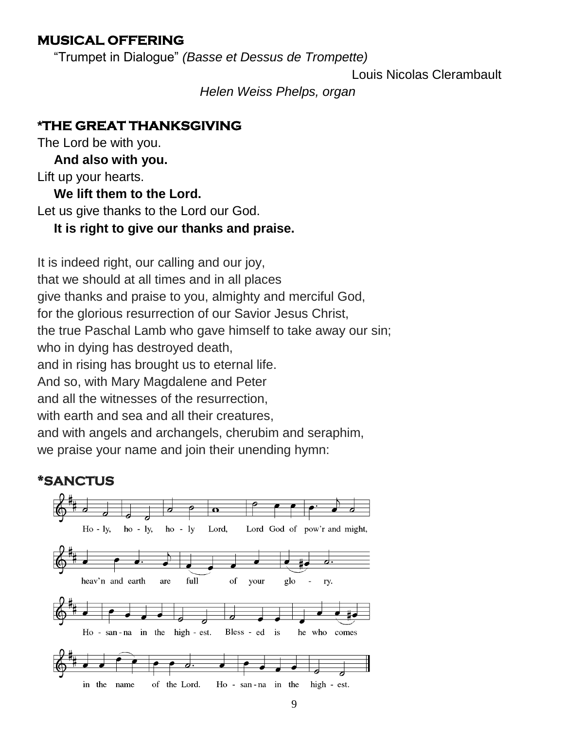### **MUSICAL OFFERING**

"Trumpet in Dialogue" *(Basse et Dessus de Trompette)*

Louis Nicolas Clerambault

*Helen Weiss Phelps, organ*

### **\*THE GREAT THANKSGIVING**

The Lord be with you.

**And also with you.**

Lift up your hearts.

### **We lift them to the Lord.**

Let us give thanks to the Lord our God.

### **It is right to give our thanks and praise.**

It is indeed right, our calling and our joy, that we should at all times and in all places give thanks and praise to you, almighty and merciful God, for the glorious resurrection of our Savior Jesus Christ, the true Paschal Lamb who gave himself to take away our sin; who in dying has destroyed death, and in rising has brought us to eternal life. And so, with Mary Magdalene and Peter and all the witnesses of the resurrection, with earth and sea and all their creatures. and with angels and archangels, cherubim and seraphim, we praise your name and join their unending hymn:

### **\*SANCTUS**

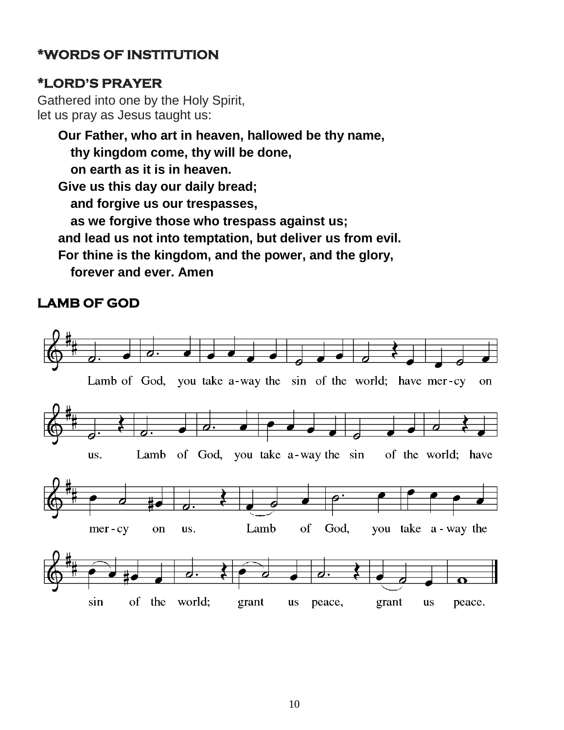# **\*WORDS OF INSTITUTION**

### **\*LORD'S PRAYER**

Gathered into one by the Holy Spirit, let us pray as Jesus taught us:

**Our Father, who art in heaven, hallowed be thy name, thy kingdom come, thy will be done, on earth as it is in heaven. Give us this day our daily bread; and forgive us our trespasses, as we forgive those who trespass against us; and lead us not into temptation, but deliver us from evil. For thine is the kingdom, and the power, and the glory, forever and ever. Amen**

# **LAMB OF GOD**

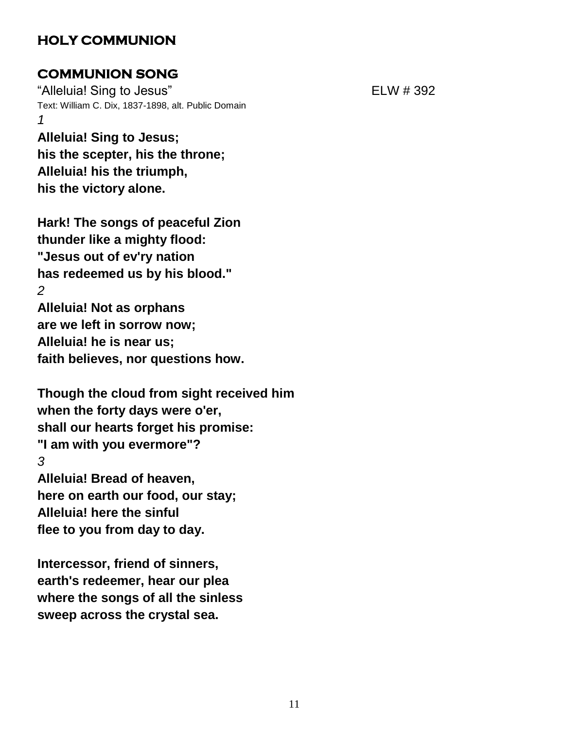### **HOLY COMMUNION**

### **COMMUNION SONG**

"Alleluia! Sing to Jesus" extending the Second ELW # 392 Text: William C. Dix, 1837-1898, alt. Public Domain *1*

**Alleluia! Sing to Jesus; his the scepter, his the throne; Alleluia! his the triumph, his the victory alone.**

**Hark! The songs of peaceful Zion thunder like a mighty flood: "Jesus out of ev'ry nation has redeemed us by his blood."** *2* **Alleluia! Not as orphans are we left in sorrow now; Alleluia! he is near us;**

**faith believes, nor questions how.**

**Though the cloud from sight received him when the forty days were o'er, shall our hearts forget his promise: "I am with you evermore"?** *3* **Alleluia! Bread of heaven, here on earth our food, our stay; Alleluia! here the sinful**

**flee to you from day to day.**

**Intercessor, friend of sinners, earth's redeemer, hear our plea where the songs of all the sinless sweep across the crystal sea.**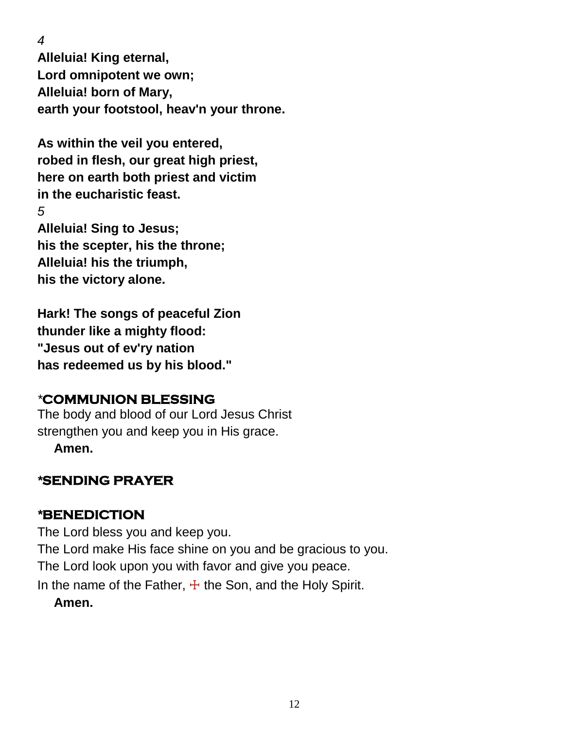*4*

**Alleluia! King eternal, Lord omnipotent we own; Alleluia! born of Mary, earth your footstool, heav'n your throne.**

**As within the veil you entered, robed in flesh, our great high priest, here on earth both priest and victim in the eucharistic feast.** *5* **Alleluia! Sing to Jesus; his the scepter, his the throne; Alleluia! his the triumph, his the victory alone.**

**Hark! The songs of peaceful Zion thunder like a mighty flood: "Jesus out of ev'ry nation has redeemed us by his blood."**

# *\****COMMUNION BLESSING**

The body and blood of our Lord Jesus Christ strengthen you and keep you in His grace.

**Amen.**

# *\****SENDING PRAYER**

# *\****BENEDICTION**

The Lord bless you and keep you. The Lord make His face shine on you and be gracious to you. The Lord look upon you with favor and give you peace. In the name of the Father,  $\pm$  the Son, and the Holy Spirit. **Amen.**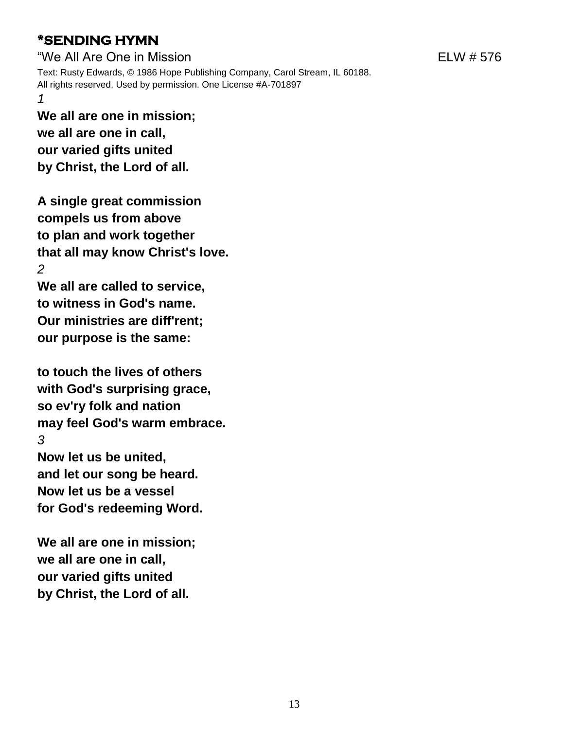# **\*SENDING HYMN**

"We All Are One in Mission ELW # 576 Text: Rusty Edwards, © 1986 Hope Publishing Company, Carol Stream, IL 60188. All rights reserved. Used by permission. One License #A-701897 *1*

**We all are one in mission; we all are one in call, our varied gifts united by Christ, the Lord of all.**

**A single great commission compels us from above to plan and work together that all may know Christ's love.** *2*

**We all are called to service, to witness in God's name. Our ministries are diff'rent; our purpose is the same:**

**to touch the lives of others with God's surprising grace, so ev'ry folk and nation may feel God's warm embrace.** *3* **Now let us be united, and let our song be heard. Now let us be a vessel for God's redeeming Word.**

**We all are one in mission; we all are one in call, our varied gifts united by Christ, the Lord of all.**